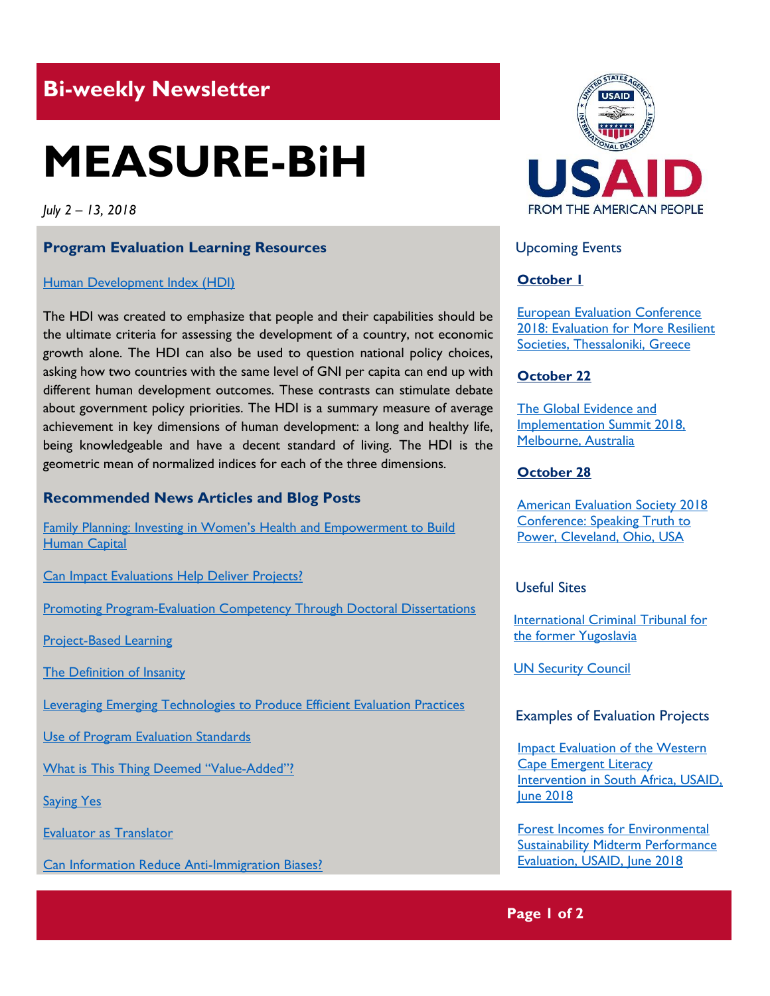# **Bi-weekly Newsletter**

# **MEASURE-BiH**

*July 2 – 13, 2018*

#### **Program Evaluation Learning Resources**

#### [Human Development Index \(HDI\)](http://hdr.undp.org/en/content/human-development-index-hdi)

The HDI was created to emphasize that people and their capabilities should be the ultimate criteria for assessing the development of a country, not economic growth alone. The HDI can also be used to question national policy choices, asking how two countries with the same level of GNI per capita can end up with different human development outcomes. These contrasts can stimulate debate about government policy priorities. The HDI is a summary measure of average achievement in key dimensions of human development: a long and healthy life, being knowledgeable and have a decent standard of living. The HDI is the geometric mean of normalized indices for each of the three dimensions.

#### **Recommended News Articles and Blog Posts**

[Family Planning: Investing in Women's Health and E](https://blogs.worldbank.org/health/family-planning-investing-women-s-health-and-empowerment-build-human-capital)mpowerment to Build [Human Capital](https://blogs.worldbank.org/health/family-planning-investing-women-s-health-and-empowerment-build-human-capital)

[Can Impact Evaluations Help Deliver Projects?](https://blogs.worldbank.org/impactevaluations/can-impact-evaluations-help-deliver-projects-guest-post-anna-crespo)

[Promoting Program-Evaluation Competency Through Doctoral Dissertations](https://aea365.org/blog/create-week-promoting-program-evaluation-competency-through-doctoral-dissertations-by-c-steven-bingham/)

[Project-Based Learning](https://aea365.org/blog/create-week-project-based-learning-by-daina-lieberman/)

[The Definition of Insanity](https://aea365.org/blog/create-week-the-definition-of-insanity-by-john-fischetti/)

[Leveraging Emerging Technologies to Produce Efficient Evaluation Practices](https://aea365.org/blog/create-week-leveraging-emerging-technologies-to-produce-efficient-evaluation-practices-by-sean-owen/)

[Use of Program Evaluation Standards](https://aea365.org/blog/create-week-use-of-program-evaluation-standards-by-paula-egelson/)

[What is This Thing Deemed](https://aea365.org/blog/ic-tig-week-what-is-this-thing-deemed-value-added-by-norma-martinez-rubin/) "Value-Added"?

**[Saying Yes](https://aea365.org/blog/ic-tig-week-saying-yes-by-kate-clavijo/)** 

[Evaluator as Translator](https://aea365.org/blog/ic-tig-week-evaluator-as-translator-by-melanie-hwalek/)

[Can Information Reduce Anti-Immigration Biases?](https://blogs.worldbank.org/impactevaluations/can-information-reduce-anti-immigration-biases)



Upcoming Events

# **October 1**

[European Evaluation Conference](http://www.ees2018.eu/)  2018: Evaluation for More Resilient [Societies, Thessaloniki, Greece](http://www.ees2018.eu/)

# **October 22**

[The Global Evidence](https://www.geis2018.org/) and [Implementation Summit 2018,](https://www.geis2018.org/) [Melbourne, Australia](https://www.geis2018.org/)

#### **October 28**

[American Evaluation Society 2018](https://www.evaluationconference.org/p/cm/ld/fid=341)  [Conference: Speaking Truth to](https://www.evaluationconference.org/p/cm/ld/fid=341)  [Power, Cleveland, Ohio, USA](https://www.evaluationconference.org/p/cm/ld/fid=341)

# Useful Sites

[International Criminal Tribunal for](http://www.icty.org/)  [the former Yugoslavia](http://www.icty.org/)

[UN Security Council](http://www.un.org/en/sc/)

#### Examples of Evaluation Projects

[Impact Evaluation of the Western](https://dec.usaid.gov/dec/content/Detail_Presto.aspx?ctID=ODVhZjk4NWQtM2YyMi00YjRmLTkxNjktZTcxMjM2NDBmY2Uy&rID=NTA4ODI3&qrs=RmFsc2U%3d&q=KERvY3VtZW50cy5CaWJ0eXBlX05hbWU6KCgiU3BlY2lhbCBFdmFsdWF0aW9uIikgT1IgKCJGaW5hbCBFdmFsdWF0aW9uIFJlcG9ydCIpKSk%3d&ph=VHJ1ZQ%3d%3d&bckToL=VHJ1ZQ%3d%3d&rrtc=VHJ1ZQ%3d%3d)  [Cape Emergent Literacy](https://dec.usaid.gov/dec/content/Detail_Presto.aspx?ctID=ODVhZjk4NWQtM2YyMi00YjRmLTkxNjktZTcxMjM2NDBmY2Uy&rID=NTA4ODI3&qrs=RmFsc2U%3d&q=KERvY3VtZW50cy5CaWJ0eXBlX05hbWU6KCgiU3BlY2lhbCBFdmFsdWF0aW9uIikgT1IgKCJGaW5hbCBFdmFsdWF0aW9uIFJlcG9ydCIpKSk%3d&ph=VHJ1ZQ%3d%3d&bckToL=VHJ1ZQ%3d%3d&rrtc=VHJ1ZQ%3d%3d)  [Intervention in South Africa, USAID,](https://dec.usaid.gov/dec/content/Detail_Presto.aspx?ctID=ODVhZjk4NWQtM2YyMi00YjRmLTkxNjktZTcxMjM2NDBmY2Uy&rID=NTA4ODI3&qrs=RmFsc2U%3d&q=KERvY3VtZW50cy5CaWJ0eXBlX05hbWU6KCgiU3BlY2lhbCBFdmFsdWF0aW9uIikgT1IgKCJGaW5hbCBFdmFsdWF0aW9uIFJlcG9ydCIpKSk%3d&ph=VHJ1ZQ%3d%3d&bckToL=VHJ1ZQ%3d%3d&rrtc=VHJ1ZQ%3d%3d)  [June 2018](https://dec.usaid.gov/dec/content/Detail_Presto.aspx?ctID=ODVhZjk4NWQtM2YyMi00YjRmLTkxNjktZTcxMjM2NDBmY2Uy&rID=NTA4ODI3&qrs=RmFsc2U%3d&q=KERvY3VtZW50cy5CaWJ0eXBlX05hbWU6KCgiU3BlY2lhbCBFdmFsdWF0aW9uIikgT1IgKCJGaW5hbCBFdmFsdWF0aW9uIFJlcG9ydCIpKSk%3d&ph=VHJ1ZQ%3d%3d&bckToL=VHJ1ZQ%3d%3d&rrtc=VHJ1ZQ%3d%3d)

[Forest Incomes for Environmental](https://dec.usaid.gov/dec/content/Detail_Presto.aspx?ctID=ODVhZjk4NWQtM2YyMi00YjRmLTkxNjktZTcxMjM2NDBmY2Uy&rID=NTA4Njg2&qrs=RmFsc2U%3d&q=KERvY3VtZW50cy5CaWJ0eXBlX05hbWU6KCgiU3BlY2lhbCBFdmFsdWF0aW9uIikgT1IgKCJGaW5hbCBFdmFsdWF0aW9uIFJlcG9ydCIpKSk%3d&ph=VHJ1ZQ%3d%3d&bckToL=VHJ1ZQ%3d%3d&rrtc=VHJ1ZQ%3d%3d)  [Sustainability Midterm Performance](https://dec.usaid.gov/dec/content/Detail_Presto.aspx?ctID=ODVhZjk4NWQtM2YyMi00YjRmLTkxNjktZTcxMjM2NDBmY2Uy&rID=NTA4Njg2&qrs=RmFsc2U%3d&q=KERvY3VtZW50cy5CaWJ0eXBlX05hbWU6KCgiU3BlY2lhbCBFdmFsdWF0aW9uIikgT1IgKCJGaW5hbCBFdmFsdWF0aW9uIFJlcG9ydCIpKSk%3d&ph=VHJ1ZQ%3d%3d&bckToL=VHJ1ZQ%3d%3d&rrtc=VHJ1ZQ%3d%3d)  [Evaluation, USAID, June 2018](https://dec.usaid.gov/dec/content/Detail_Presto.aspx?ctID=ODVhZjk4NWQtM2YyMi00YjRmLTkxNjktZTcxMjM2NDBmY2Uy&rID=NTA4Njg2&qrs=RmFsc2U%3d&q=KERvY3VtZW50cy5CaWJ0eXBlX05hbWU6KCgiU3BlY2lhbCBFdmFsdWF0aW9uIikgT1IgKCJGaW5hbCBFdmFsdWF0aW9uIFJlcG9ydCIpKSk%3d&ph=VHJ1ZQ%3d%3d&bckToL=VHJ1ZQ%3d%3d&rrtc=VHJ1ZQ%3d%3d)

**Page 1 of 2**